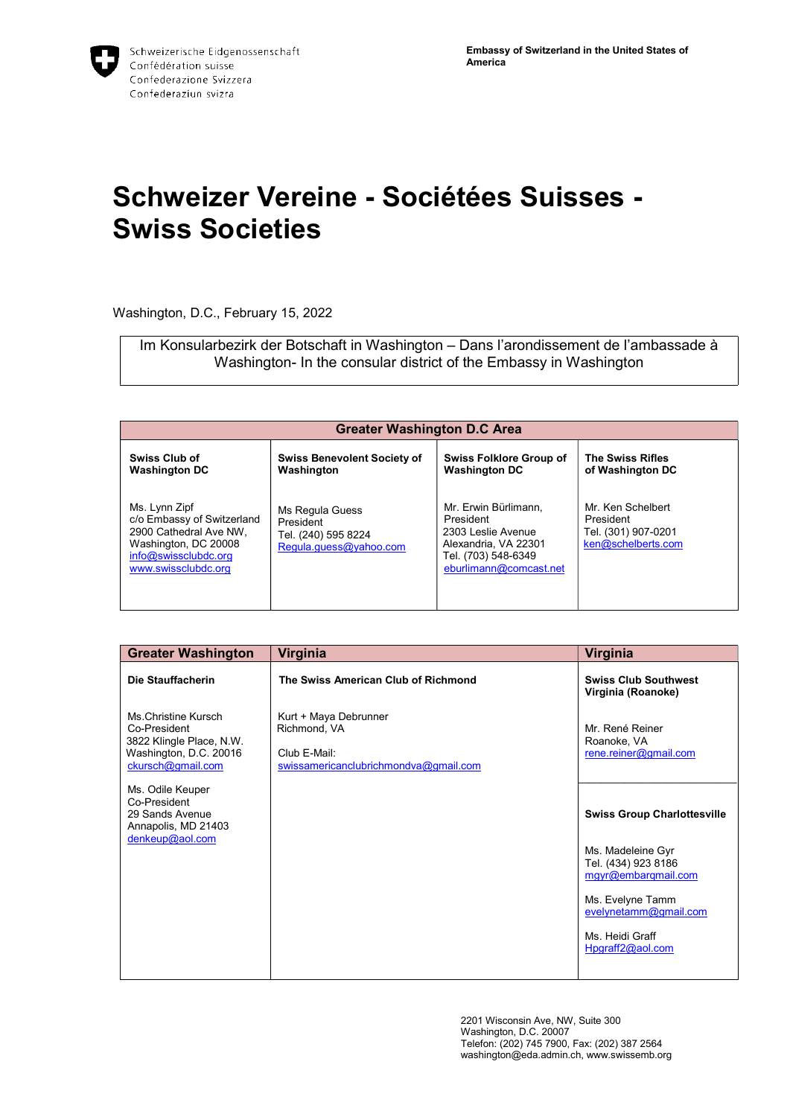## Schweizer Vereine - Sociétées Suisses - Swiss Societies

Washington, D.C., February 15, 2022

Im Konsularbezirk der Botschaft in Washington – Dans l'arondissement de l'ambassade à Washington- In the consular district of the Embassy in Washington

| <b>Greater Washington D.C Area</b>                                                                                                           |                                                                               |                                                                                                                                  |                                                                             |
|----------------------------------------------------------------------------------------------------------------------------------------------|-------------------------------------------------------------------------------|----------------------------------------------------------------------------------------------------------------------------------|-----------------------------------------------------------------------------|
| <b>Swiss Club of</b><br><b>Washington DC</b>                                                                                                 | <b>Swiss Benevolent Society of</b><br>Washington                              | <b>Swiss Folklore Group of</b><br><b>Washington DC</b>                                                                           | <b>The Swiss Rifles</b><br>of Washington DC                                 |
| Ms. Lynn Zipf<br>c/o Embassy of Switzerland<br>2900 Cathedral Ave NW,<br>Washington, DC 20008<br>info@swissclubdc.org<br>www.swissclubdc.org | Ms Regula Guess<br>President<br>Tel. (240) 595 8224<br>Regula.guess@yahoo.com | Mr. Erwin Bürlimann.<br>President<br>2303 Leslie Avenue<br>Alexandria, VA 22301<br>Tel. (703) 548-6349<br>eburlimann@comcast.net | Mr. Ken Schelbert<br>President<br>Tel. (301) 907-0201<br>ken@schelberts.com |

| <b>Greater Washington</b>                                                                                      | Virginia                                                                                       | Virginia                                                        |
|----------------------------------------------------------------------------------------------------------------|------------------------------------------------------------------------------------------------|-----------------------------------------------------------------|
| Die Stauffacherin                                                                                              | The Swiss American Club of Richmond                                                            | <b>Swiss Club Southwest</b><br>Virginia (Roanoke)               |
| Ms.Christine Kursch<br>Co-President<br>3822 Klingle Place, N.W.<br>Washington, D.C. 20016<br>ckursch@gmail.com | Kurt + Maya Debrunner<br>Richmond, VA<br>Club E-Mail:<br>swissamericanclubrichmondva@gmail.com | Mr. René Reiner<br>Roanoke, VA<br>rene.reiner@gmail.com         |
| Ms. Odile Keuper<br>Co-President<br>29 Sands Avenue<br>Annapolis, MD 21403<br>denkeup@aol.com                  |                                                                                                | <b>Swiss Group Charlottesville</b>                              |
|                                                                                                                |                                                                                                | Ms. Madeleine Gyr<br>Tel. (434) 923 8186<br>mgyr@embarqmail.com |
|                                                                                                                |                                                                                                | Ms. Evelyne Tamm<br>evelynetamm@gmail.com                       |
|                                                                                                                |                                                                                                | Ms. Heidi Graff<br>Hpgraff2@aol.com                             |